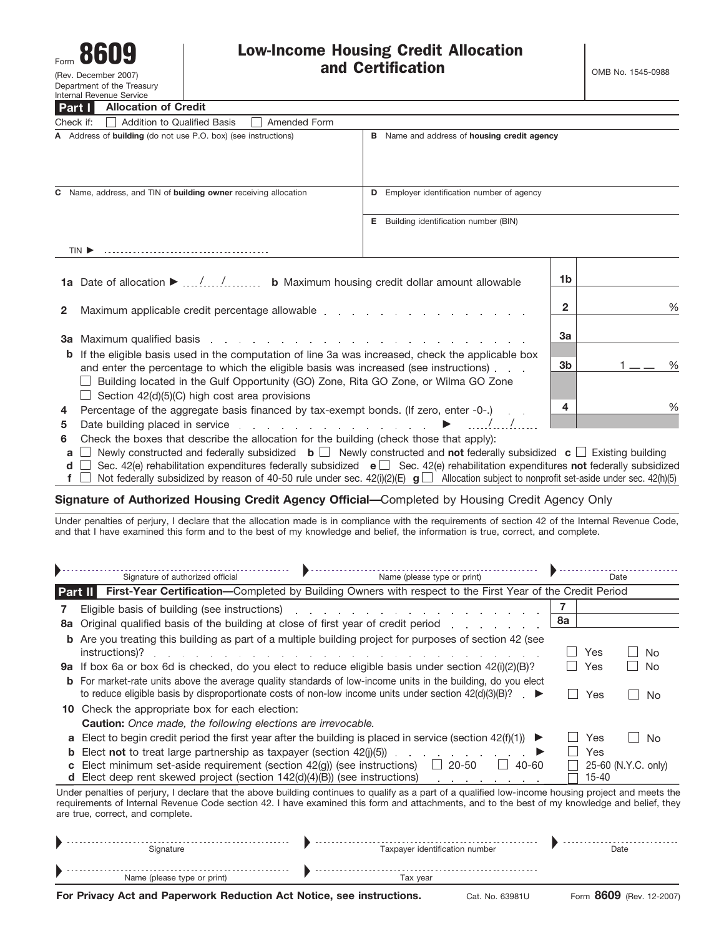

**Part I**

(Rev. December 2007) Department of the Treasury Internal Revenue Service

**Allocation of Credit**

|   | Part I<br>Allocation of Great                                                                                                                                                                                                  |                                               |                                                    |     |   |  |
|---|--------------------------------------------------------------------------------------------------------------------------------------------------------------------------------------------------------------------------------|-----------------------------------------------|----------------------------------------------------|-----|---|--|
|   | Check if:<br><b>Addition to Qualified Basis</b><br>Amended Form                                                                                                                                                                |                                               |                                                    |     |   |  |
|   | A Address of building (do not use P.O. box) (see instructions)                                                                                                                                                                 |                                               | <b>B</b> Name and address of housing credit agency |     |   |  |
|   | C Name, address, and TIN of building owner receiving allocation                                                                                                                                                                | Employer identification number of agency<br>D |                                                    |     |   |  |
|   |                                                                                                                                                                                                                                | Е.                                            | Building identification number (BIN)               |     |   |  |
|   | TIN <sup>E</sup>                                                                                                                                                                                                               |                                               |                                                    |     |   |  |
|   | 1a Date of allocation ▶ // b Maximum housing credit dollar amount allowable                                                                                                                                                    |                                               |                                                    | 1b. |   |  |
| 2 | Maximum applicable credit percentage allowable entity and all and a series of the state of the state of the state of the state of the state of the state of the state of the state of the state of the state of the state of t | 2                                             | $\frac{0}{0}$                                      |     |   |  |
|   |                                                                                                                                                                                                                                | 3a                                            |                                                    |     |   |  |
|   | <b>b</b> If the eligible basis used in the computation of line 3a was increased, check the applicable box<br>and enter the percentage to which the eligible basis was increased (see instructions).                            | 3b                                            | $\frac{0}{0}$                                      |     |   |  |
|   | Building located in the Gulf Opportunity (GO) Zone, Rita GO Zone, or Wilma GO Zone<br>$\Box$ Section 42(d)(5)(C) high cost area provisions                                                                                     |                                               |                                                    |     |   |  |
|   | 4 Percentage of the aggregate basis financed by tax-exempt bonds. (If zero, enter -0-.)                                                                                                                                        |                                               |                                                    | 4   | % |  |
|   |                                                                                                                                                                                                                                |                                               |                                                    |     |   |  |

- **5** Date building placed in service  $\ldots$   $\ldots$   $\ldots$   $\ldots$   $\ldots$   $\ldots$   $\ldots$   $\ldots$   $\ldots$   $\ldots$   $\ldots$
- **6** Check the boxes that describe the allocation for the building (check those that apply):
- **a** Newly constructed and federally subsidized **b** Newly constructed and **not** federally subsidized **c** Existing building
- **d** □ Sec. 42(e) rehabilitation expenditures federally subsidized **e** □ Sec. 42(e) rehabilitation expenditures **not** federally subsidized
- **f**  $\Box$  Not federally subsidized by reason of 40-50 rule under sec. 42(i)(2)(E)  $\Box$  Allocation subject to nonprofit set-aside under sec. 42(h)(5)

### **Signature of Authorized Housing Credit Agency Official—**Completed by Housing Credit Agency Only

Under penalties of perjury, I declare that the allocation made is in compliance with the requirements of section 42 of the Internal Revenue Code, and that I have examined this form and to the best of my knowledge and belief, the information is true, correct, and complete.

| Signature of authorized official |                                                                                                                                                                                                                                | Name (please type or print)                                                                                                                                                                                                      | Date |       |                      |  |  |
|----------------------------------|--------------------------------------------------------------------------------------------------------------------------------------------------------------------------------------------------------------------------------|----------------------------------------------------------------------------------------------------------------------------------------------------------------------------------------------------------------------------------|------|-------|----------------------|--|--|
|                                  | Part II                                                                                                                                                                                                                        | First-Year Certification-Completed by Building Owners with respect to the First Year of the Credit Period                                                                                                                        |      |       |                      |  |  |
|                                  | Eligible basis of building (see instructions) example and a set of the set of the set of the set of the set of the set of the set of the set of the set of the set of the set of the set of the set of the set of the set of t |                                                                                                                                                                                                                                  |      |       |                      |  |  |
| 8a                               | Original qualified basis of the building at close of first year of credit period                                                                                                                                               |                                                                                                                                                                                                                                  | 8а   |       |                      |  |  |
|                                  | instructions)?                                                                                                                                                                                                                 | <b>b</b> Are you treating this building as part of a multiple building project for purposes of section 42 (see                                                                                                                   |      | Yes   | No.                  |  |  |
|                                  | 9a If box 6a or box 6d is checked, do you elect to reduce eligible basis under section 42(i)(2)(B)?                                                                                                                            |                                                                                                                                                                                                                                  |      | Yes   | No                   |  |  |
|                                  |                                                                                                                                                                                                                                | <b>b</b> For market-rate units above the average quality standards of low-income units in the building, do you elect<br>to reduce eligible basis by disproportionate costs of non-low income units under section $42(d)(3)(B)$ ? |      | Yes   | No<br>$\blacksquare$ |  |  |
|                                  | <b>10</b> Check the appropriate box for each election:                                                                                                                                                                         |                                                                                                                                                                                                                                  |      |       |                      |  |  |
|                                  | <b>Caution:</b> Once made, the following elections are irrevocable.                                                                                                                                                            |                                                                                                                                                                                                                                  |      |       |                      |  |  |
|                                  | <b>a</b> Elect to begin credit period the first year after the building is placed in service (section $42(f)(1)$ )                                                                                                             | ▶                                                                                                                                                                                                                                |      | Yes   | No<br>$\sim$         |  |  |
|                                  | <b>b</b> Elect not to treat large partnership as taxpayer (section $42(j)(5)$ )                                                                                                                                                |                                                                                                                                                                                                                                  |      | Yes   |                      |  |  |
| $\mathbf{c}$                     | Elect minimum set-aside requirement (section 42(q)) (see instructions)<br><b>d</b> Elect deep rent skewed project (section $142(d)(4)(B)$ ) (see instructions)                                                                 | $20 - 50$<br>40-60<br>$\mathbf{L}$                                                                                                                                                                                               |      | 15-40 | 25-60 (N.Y.C. only)  |  |  |
|                                  |                                                                                                                                                                                                                                | Under penalties of perjury, I declare that the above building continues to qualify as a part of a qualified low-income housing project and meets the                                                                             |      |       |                      |  |  |

requirements of Internal Revenue Code section 42. I have examined this form and attachments, and to the best of my knowledge and belief, they are true, correct, and complete.

| -------<br>Signature                   | .<br>number<br>: identitication<br>Taxpaver | Date |
|----------------------------------------|---------------------------------------------|------|
| -------<br>Name (please type or print) | -------------------<br>Tax year             |      |

**For Privacy Act and Paperwork Reduction Act Notice, see instructions.** Cat. No. 63981U Form 8609 (Rev. 12-2007)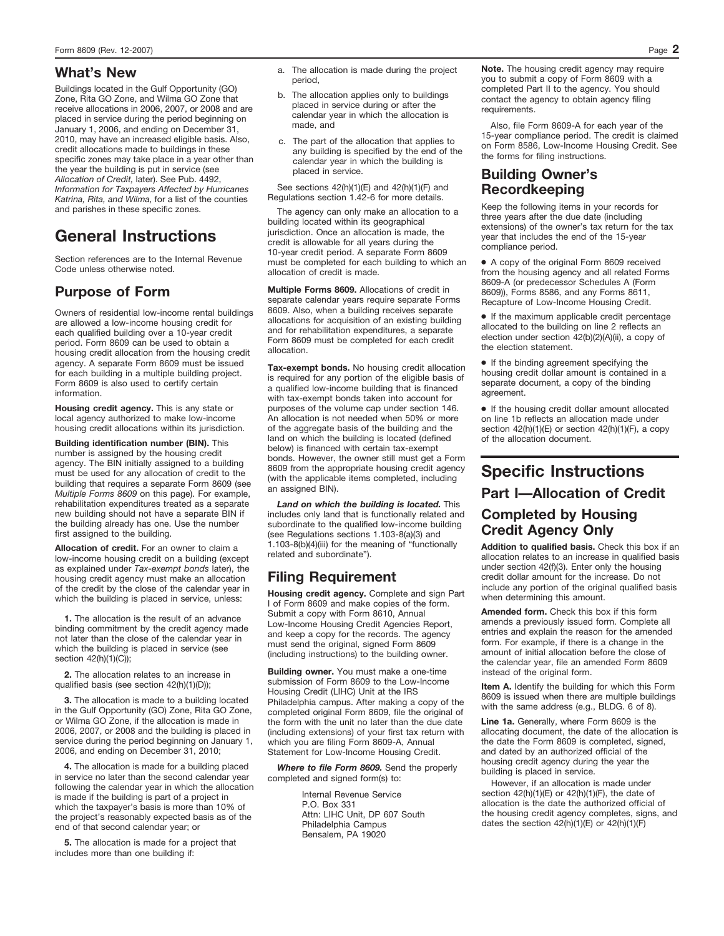Buildings located in the Gulf Opportunity (GO) Zone, Rita GO Zone, and Wilma GO Zone that receive allocations in 2006, 2007, or 2008 and are placed in service during the period beginning on January 1, 2006, and ending on December 31, 2010, may have an increased eligible basis. Also, credit allocations made to buildings in these specific zones may take place in a year other than the year the building is put in service (see *Allocation of Credit,* later). See Pub. 4492, *Information for Taxpayers Affected by Hurricanes Katrina, Rita, and Wilma,* for a list of the counties and parishes in these specific zones.

# **General Instructions**

Section references are to the Internal Revenue Code unless otherwise noted.

# **Purpose of Form**

Owners of residential low-income rental buildings are allowed a low-income housing credit for each qualified building over a 10-year credit period. Form 8609 can be used to obtain a housing credit allocation from the housing credit agency. A separate Form 8609 must be issued for each building in a multiple building project. Form 8609 is also used to certify certain information.

**Housing credit agency.** This is any state or local agency authorized to make low-income housing credit allocations within its jurisdiction.

**Building identification number (BIN).** This number is assigned by the housing credit agency. The BIN initially assigned to a building must be used for any allocation of credit to the building that requires a separate Form 8609 (see *Multiple Forms 8609* on this page). For example, rehabilitation expenditures treated as a separate new building should not have a separate BIN if the building already has one. Use the number first assigned to the building.

**Allocation of credit.** For an owner to claim a low-income housing credit on a building (except as explained under *Tax-exempt bonds* later), the housing credit agency must make an allocation of the credit by the close of the calendar year in which the building is placed in service, unless:

**1.** The allocation is the result of an advance binding commitment by the credit agency made not later than the close of the calendar year in which the building is placed in service (see section 42(h)(1)(C));

**2.** The allocation relates to an increase in qualified basis (see section 42(h)(1)(D));

**3.** The allocation is made to a building located in the Gulf Opportunity (GO) Zone, Rita GO Zone, or Wilma GO Zone, if the allocation is made in 2006, 2007, or 2008 and the building is placed in service during the period beginning on January 1, 2006, and ending on December 31, 2010;

**4.** The allocation is made for a building placed in service no later than the second calendar year following the calendar year in which the allocation is made if the building is part of a project in which the taxpayer's basis is more than 10% of the project's reasonably expected basis as of the end of that second calendar year; or

**5.** The allocation is made for a project that includes more than one building if:

- **What's New a.** The allocation is made during the project period,
	- b. The allocation applies only to buildings placed in service during or after the calendar year in which the allocation is made, and
	- c. The part of the allocation that applies to any building is specified by the end of the calendar year in which the building is placed in service.

See sections 42(h)(1)(E) and 42(h)(1)(F) and Regulations section 1.42-6 for more details.

The agency can only make an allocation to a building located within its geographical jurisdiction. Once an allocation is made, the credit is allowable for all years during the 10-year credit period. A separate Form 8609 must be completed for each building to which an allocation of credit is made.

**Multiple Forms 8609.** Allocations of credit in separate calendar years require separate Forms 8609. Also, when a building receives separate allocations for acquisition of an existing building and for rehabilitation expenditures, a separate Form 8609 must be completed for each credit allocation.

**Tax-exempt bonds.** No housing credit allocation is required for any portion of the eligible basis of a qualified low-income building that is financed with tax-exempt bonds taken into account for purposes of the volume cap under section 146. An allocation is not needed when 50% or more of the aggregate basis of the building and the land on which the building is located (defined below) is financed with certain tax-exempt bonds. However, the owner still must get a Form 8609 from the appropriate housing credit agency (with the applicable items completed, including an assigned BIN).

*Land on which the building is located.* This includes only land that is functionally related and subordinate to the qualified low-income building (see Regulations sections 1.103-8(a)(3) and 1.103-8(b)(4)(iii) for the meaning of "functionally related and subordinate").

# **Filing Requirement**

**Housing credit agency.** Complete and sign Part I of Form 8609 and make copies of the form. Submit a copy with Form 8610, Annual Low-Income Housing Credit Agencies Report, and keep a copy for the records. The agency must send the original, signed Form 8609 (including instructions) to the building owner.

**Building owner.** You must make a one-time submission of Form 8609 to the Low-Income Housing Credit (LIHC) Unit at the IRS Philadelphia campus. After making a copy of the completed original Form 8609, file the original of the form with the unit no later than the due date (including extensions) of your first tax return with which you are filing Form 8609-A, Annual Statement for Low-Income Housing Credit.

*Where to file Form 8609.* Send the properly completed and signed form(s) to:

> Internal Revenue Service P.O. Box 331 Attn: LIHC Unit, DP 607 South Philadelphia Campus Bensalem, PA 19020

**Note.** The housing credit agency may require you to submit a copy of Form 8609 with a completed Part II to the agency. You should contact the agency to obtain agency filing requirements.

Also, file Form 8609-A for each year of the 15-year compliance period. The credit is claimed on Form 8586, Low-Income Housing Credit. See the forms for filing instructions.

### **Building Owner's Recordkeeping**

Keep the following items in your records for three years after the due date (including extensions) of the owner's tax return for the tax year that includes the end of the 15-year compliance period.

● A copy of the original Form 8609 received from the housing agency and all related Forms 8609-A (or predecessor Schedules A (Form 8609)), Forms 8586, and any Forms 8611, Recapture of Low-Income Housing Credit.

● If the maximum applicable credit percentage allocated to the building on line 2 reflects an election under section 42(b)(2)(A)(ii), a copy of the election statement.

● If the binding agreement specifying the housing credit dollar amount is contained in a separate document, a copy of the binding agreement.

● If the housing credit dollar amount allocated on line 1b reflects an allocation made under section 42(h)(1)(E) or section 42(h)(1)(F), a copy of the allocation document.

# **Specific Instructions Part I—Allocation of Credit**

### **Completed by Housing Credit Agency Only**

**Addition to qualified basis.** Check this box if an allocation relates to an increase in qualified basis under section 42(f)(3). Enter only the housing credit dollar amount for the increase. Do not include any portion of the original qualified basis when determining this amount.

**Amended form.** Check this box if this form amends a previously issued form. Complete all entries and explain the reason for the amended form. For example, if there is a change in the amount of initial allocation before the close of the calendar year, file an amended Form 8609 instead of the original form.

**Item A.** Identify the building for which this Form 8609 is issued when there are multiple buildings with the same address (e.g., BLDG. 6 of 8).

**Line 1a.** Generally, where Form 8609 is the allocating document, the date of the allocation is the date the Form 8609 is completed, signed, and dated by an authorized official of the housing credit agency during the year the building is placed in service.

However, if an allocation is made under section  $42(h)(1)(E)$  or  $42(h)(1)(F)$ , the date of allocation is the date the authorized official of the housing credit agency completes, signs, and dates the section  $42(h)(1)(E)$  or  $42(h)(1)(F)$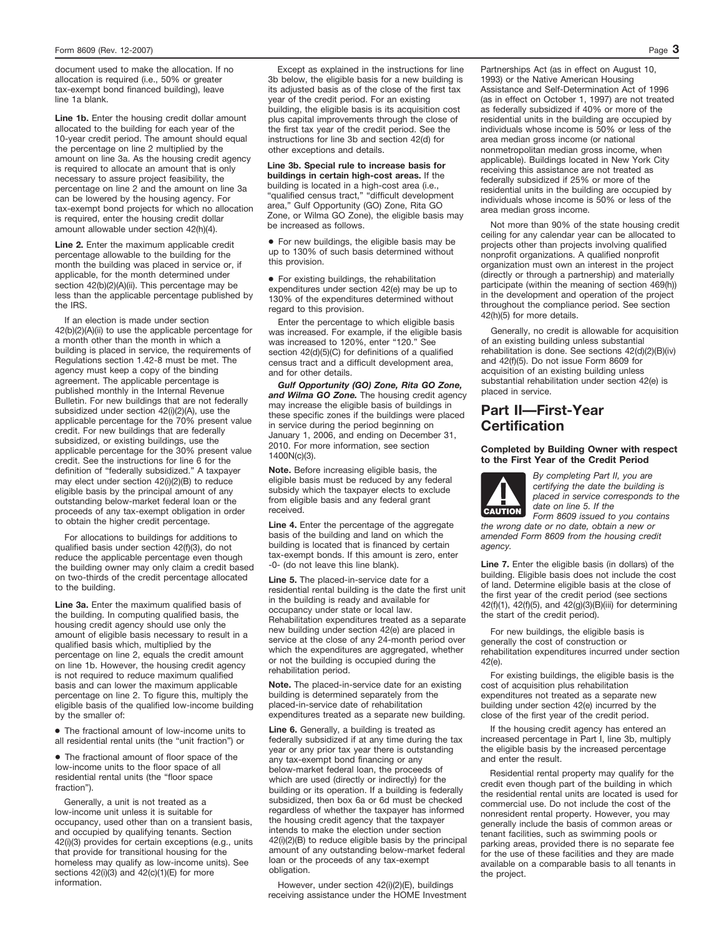document used to make the allocation. If no allocation is required (i.e., 50% or greater tax-exempt bond financed building), leave line 1a blank.

**Line 1b.** Enter the housing credit dollar amount allocated to the building for each year of the 10-year credit period. The amount should equal the percentage on line 2 multiplied by the amount on line 3a. As the housing credit agency is required to allocate an amount that is only necessary to assure project feasibility, the percentage on line 2 and the amount on line 3a can be lowered by the housing agency. For tax-exempt bond projects for which no allocation is required, enter the housing credit dollar amount allowable under section 42(h)(4).

**Line 2.** Enter the maximum applicable credit percentage allowable to the building for the month the building was placed in service or, if applicable, for the month determined under section 42(b)(2)(A)(ii). This percentage may be less than the applicable percentage published by the IRS.

If an election is made under section 42(b)(2)(A)(ii) to use the applicable percentage for a month other than the month in which a building is placed in service, the requirements of Regulations section 1.42-8 must be met. The agency must keep a copy of the binding agreement. The applicable percentage is published monthly in the Internal Revenue Bulletin. For new buildings that are not federally subsidized under section 42(i)(2)(A), use the applicable percentage for the 70% present value credit. For new buildings that are federally subsidized, or existing buildings, use the applicable percentage for the 30% present value credit. See the instructions for line 6 for the definition of "federally subsidized." A taxpayer may elect under section 42(i)(2)(B) to reduce eligible basis by the principal amount of any outstanding below-market federal loan or the proceeds of any tax-exempt obligation in order to obtain the higher credit percentage.

For allocations to buildings for additions to qualified basis under section 42(f)(3), do not reduce the applicable percentage even though the building owner may only claim a credit based on two-thirds of the credit percentage allocated to the building.

**Line 3a.** Enter the maximum qualified basis of the building. In computing qualified basis, the housing credit agency should use only the amount of eligible basis necessary to result in a qualified basis which, multiplied by the percentage on line 2, equals the credit amount on line 1b. However, the housing credit agency is not required to reduce maximum qualified basis and can lower the maximum applicable percentage on line 2. To figure this, multiply the eligible basis of the qualified low-income building by the smaller of:

● The fractional amount of low-income units to all residential rental units (the "unit fraction") or

● The fractional amount of floor space of the low-income units to the floor space of all residential rental units (the "floor space fraction").

Generally, a unit is not treated as a low-income unit unless it is suitable for occupancy, used other than on a transient basis, and occupied by qualifying tenants. Section 42(i)(3) provides for certain exceptions (e.g., units that provide for transitional housing for the homeless may qualify as low-income units). See sections 42(i)(3) and 42(c)(1)(E) for more information.

Except as explained in the instructions for line 3b below, the eligible basis for a new building is its adjusted basis as of the close of the first tax year of the credit period. For an existing building, the eligible basis is its acquisition cost plus capital improvements through the close of the first tax year of the credit period. See the instructions for line 3b and section 42(d) for other exceptions and details.

**Line 3b. Special rule to increase basis for buildings in certain high-cost areas.** If the building is located in a high-cost area (i.e., "qualified census tract," "difficult development area," Gulf Opportunity (GO) Zone, Rita GO Zone, or Wilma GO Zone), the eligible basis may be increased as follows.

● For new buildings, the eligible basis may be up to 130% of such basis determined without this provision.

● For existing buildings, the rehabilitation expenditures under section 42(e) may be up to 130% of the expenditures determined without regard to this provision.

Enter the percentage to which eligible basis was increased. For example, if the eligible basis was increased to 120%, enter "120." See section 42(d)(5)(C) for definitions of a qualified census tract and a difficult development area, and for other details.

*Gulf Opportunity (GO) Zone, Rita GO Zone, and Wilma GO Zone.* The housing credit agency may increase the eligible basis of buildings in these specific zones if the buildings were placed in service during the period beginning on January 1, 2006, and ending on December 31, 2010. For more information, see section 1400N(c)(3).

**Note.** Before increasing eligible basis, the eligible basis must be reduced by any federal subsidy which the taxpayer elects to exclude from eligible basis and any federal grant received.

**Line 4.** Enter the percentage of the aggregate basis of the building and land on which the building is located that is financed by certain tax-exempt bonds. If this amount is zero, enter -0- (do not leave this line blank).

**Line 5.** The placed-in-service date for a residential rental building is the date the first unit in the building is ready and available for occupancy under state or local law. Rehabilitation expenditures treated as a separate new building under section 42(e) are placed in service at the close of any 24-month period over which the expenditures are aggregated, whether or not the building is occupied during the rehabilitation period.

**Note.** The placed-in-service date for an existing building is determined separately from the placed-in-service date of rehabilitation expenditures treated as a separate new building.

**Line 6.** Generally, a building is treated as federally subsidized if at any time during the tax year or any prior tax year there is outstanding any tax-exempt bond financing or any below-market federal loan, the proceeds of which are used (directly or indirectly) for the building or its operation. If a building is federally subsidized, then box 6a or 6d must be checked regardless of whether the taxpayer has informed the housing credit agency that the taxpayer intends to make the election under section 42(i)(2)(B) to reduce eligible basis by the principal amount of any outstanding below-market federal loan or the proceeds of any tax-exempt obligation.

However, under section 42(i)(2)(E), buildings receiving assistance under the HOME Investment Partnerships Act (as in effect on August 10, 1993) or the Native American Housing Assistance and Self-Determination Act of 1996 (as in effect on October 1, 1997) are not treated as federally subsidized if 40% or more of the residential units in the building are occupied by individuals whose income is 50% or less of the area median gross income (or national nonmetropolitan median gross income, when applicable). Buildings located in New York City receiving this assistance are not treated as federally subsidized if 25% or more of the residential units in the building are occupied by individuals whose income is 50% or less of the area median gross income.

Not more than 90% of the state housing credit ceiling for any calendar year can be allocated to projects other than projects involving qualified nonprofit organizations. A qualified nonprofit organization must own an interest in the project (directly or through a partnership) and materially participate (within the meaning of section 469(h)) in the development and operation of the project throughout the compliance period. See section 42(h)(5) for more details.

Generally, no credit is allowable for acquisition of an existing building unless substantial rehabilitation is done. See sections 42(d)(2)(B)(iv) and 42(f)(5). Do not issue Form 8609 for acquisition of an existing building unless substantial rehabilitation under section 42(e) is placed in service.

### **Part II—First-Year Certification**

### **Completed by Building Owner with respect to the First Year of the Credit Period**



*By completing Part II, you are certifying the date the building is placed in service corresponds to the date on line 5. If the*

*Form 8609 issued to you contains the wrong date or no date, obtain a new or amended Form 8609 from the housing credit agency.*

Line 7. Enter the eligible basis (in dollars) of the building. Eligible basis does not include the cost of land. Determine eligible basis at the close of the first year of the credit period (see sections 42(f)(1), 42(f)(5), and 42(g)(3)(B)(iii) for determining the start of the credit period).

For new buildings, the eligible basis is generally the cost of construction or rehabilitation expenditures incurred under section 42(e).

For existing buildings, the eligible basis is the cost of acquisition plus rehabilitation expenditures not treated as a separate new building under section 42(e) incurred by the close of the first year of the credit period.

If the housing credit agency has entered an increased percentage in Part I, line 3b, multiply the eligible basis by the increased percentage and enter the result.

Residential rental property may qualify for the credit even though part of the building in which the residential rental units are located is used for commercial use. Do not include the cost of the nonresident rental property. However, you may generally include the basis of common areas or tenant facilities, such as swimming pools or parking areas, provided there is no separate fee for the use of these facilities and they are made available on a comparable basis to all tenants in the project.